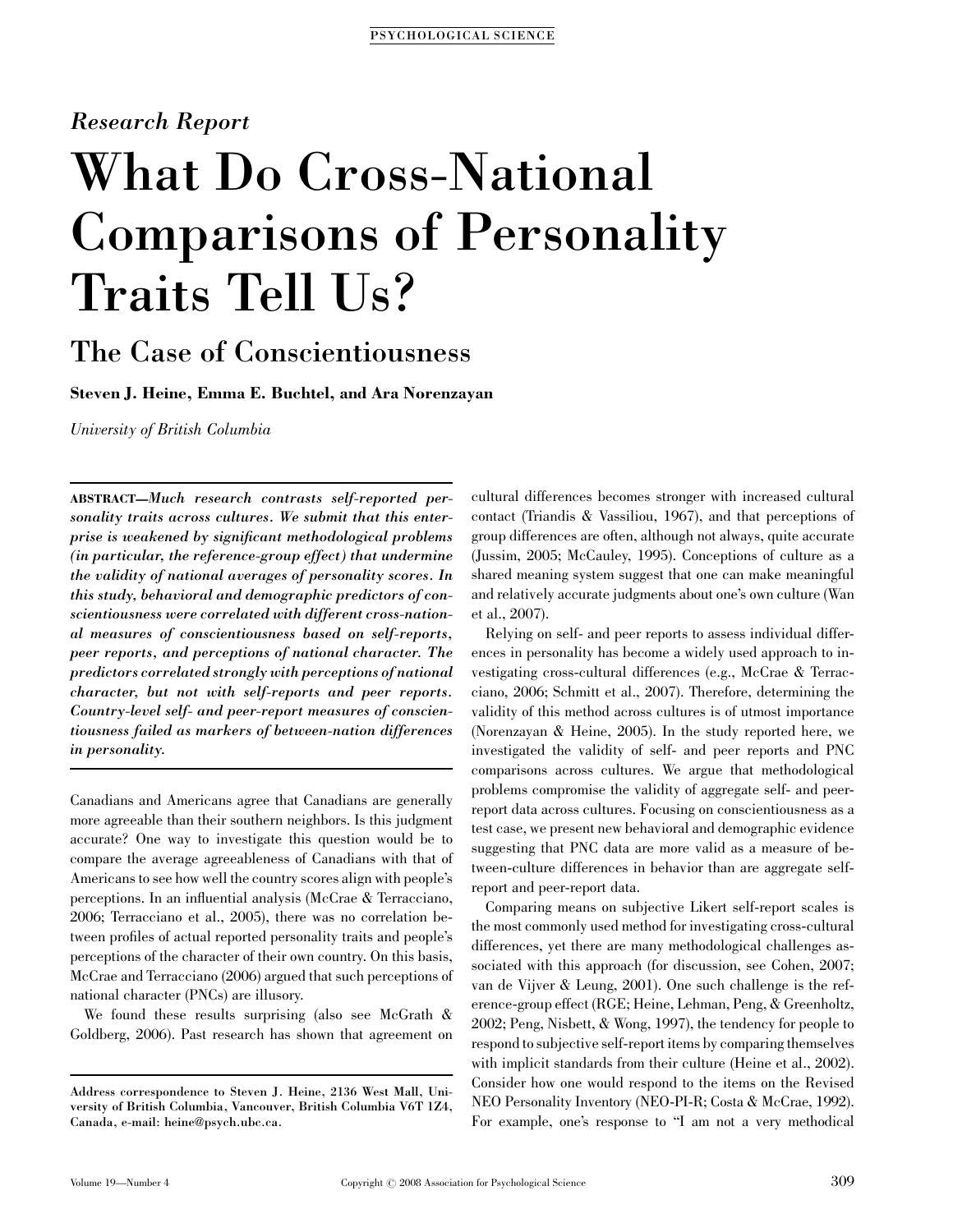### Research Report

# What Do Cross-National Comparisons of Personality Traits Tell Us?

## The Case of Conscientiousness

Steven J. Heine, Emma E. Buchtel, and Ara Norenzayan

University of British Columbia

ABSTRACT—Much research contrasts self-reported personality traits across cultures. We submit that this enterprise is weakened by significant methodological problems (in particular, the reference-group effect) that undermine the validity of national averages of personality scores. In this study, behavioral and demographic predictors of conscientiousness were correlated with different cross-national measures of conscientiousness based on self-reports, peer reports, and perceptions of national character. The predictors correlated strongly with perceptions of national character, but not with self-reports and peer reports. Country-level self- and peer-report measures of conscientiousness failed as markers of between-nation differences in personality.

Canadians and Americans agree that Canadians are generally more agreeable than their southern neighbors. Is this judgment accurate? One way to investigate this question would be to compare the average agreeableness of Canadians with that of Americans to see how well the country scores align with people's perceptions. In an influential analysis (McCrae & Terracciano, 2006; Terracciano et al., 2005), there was no correlation between profiles of actual reported personality traits and people's perceptions of the character of their own country. On this basis, McCrae and Terracciano (2006) argued that such perceptions of national character (PNCs) are illusory.

We found these results surprising (also see McGrath & Goldberg, 2006). Past research has shown that agreement on

cultural differences becomes stronger with increased cultural contact (Triandis & Vassiliou, 1967), and that perceptions of group differences are often, although not always, quite accurate (Jussim, 2005; McCauley, 1995). Conceptions of culture as a shared meaning system suggest that one can make meaningful and relatively accurate judgments about one's own culture (Wan et al., 2007).

Relying on self- and peer reports to assess individual differences in personality has become a widely used approach to investigating cross-cultural differences (e.g., McCrae & Terracciano, 2006; Schmitt et al., 2007). Therefore, determining the validity of this method across cultures is of utmost importance (Norenzayan & Heine, 2005). In the study reported here, we investigated the validity of self- and peer reports and PNC comparisons across cultures. We argue that methodological problems compromise the validity of aggregate self- and peerreport data across cultures. Focusing on conscientiousness as a test case, we present new behavioral and demographic evidence suggesting that PNC data are more valid as a measure of between-culture differences in behavior than are aggregate selfreport and peer-report data.

Comparing means on subjective Likert self-report scales is the most commonly used method for investigating cross-cultural differences, yet there are many methodological challenges associated with this approach (for discussion, see Cohen, 2007; van de Vijver & Leung, 2001). One such challenge is the reference-group effect (RGE; Heine, Lehman, Peng, & Greenholtz, 2002; Peng, Nisbett, & Wong, 1997), the tendency for people to respond to subjective self-report items by comparing themselves with implicit standards from their culture (Heine et al., 2002). Consider how one would respond to the items on the Revised NEO Personality Inventory (NEO-PI-R; Costa & McCrae, 1992). For example, one's response to "I am not a very methodical

Address correspondence to Steven J. Heine, 2136 West Mall, University of British Columbia, Vancouver, British Columbia V6T 1Z4, Canada, e-mail: heine@psych.ubc.ca.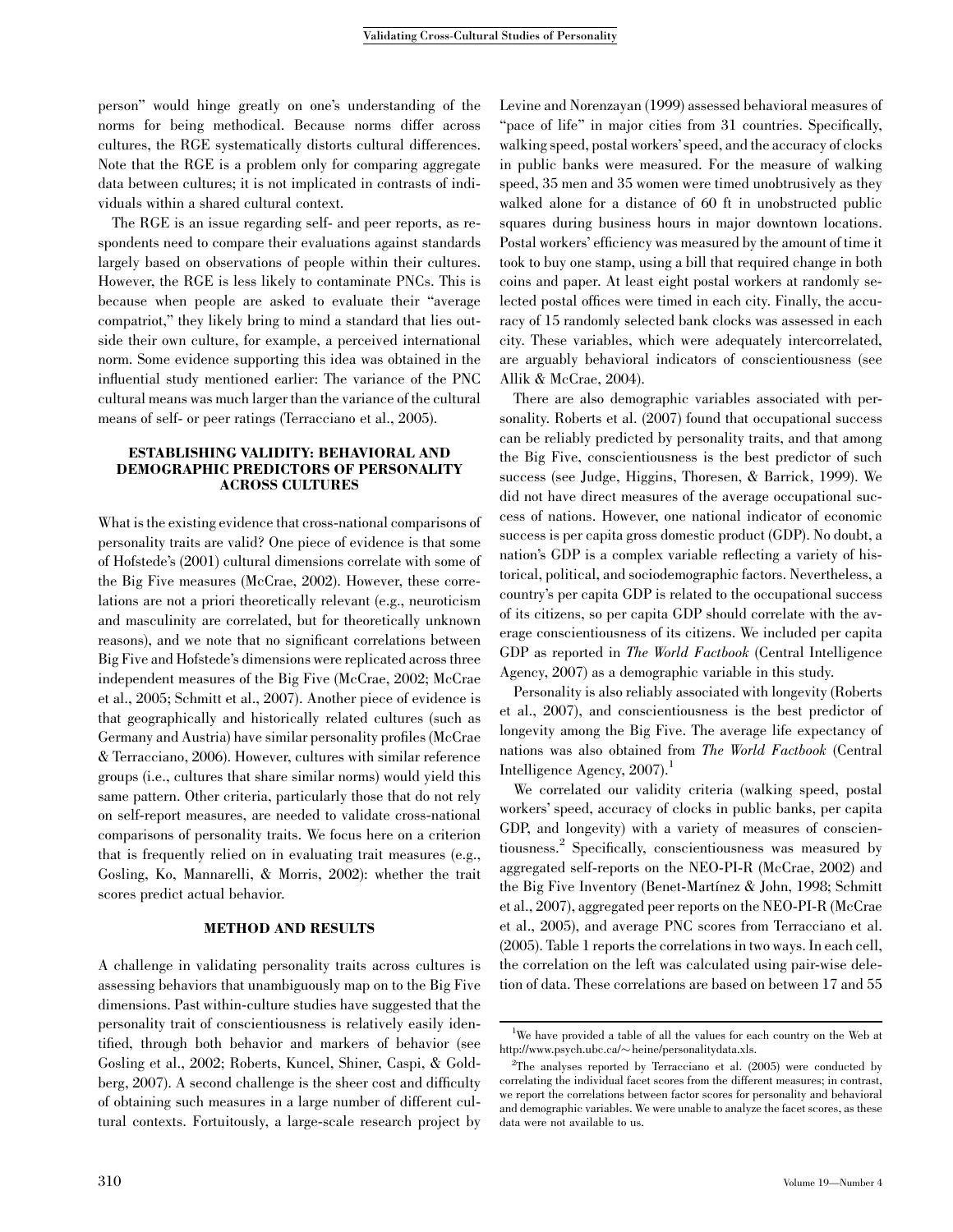person'' would hinge greatly on one's understanding of the norms for being methodical. Because norms differ across cultures, the RGE systematically distorts cultural differences. Note that the RGE is a problem only for comparing aggregate data between cultures; it is not implicated in contrasts of individuals within a shared cultural context.

The RGE is an issue regarding self- and peer reports, as respondents need to compare their evaluations against standards largely based on observations of people within their cultures. However, the RGE is less likely to contaminate PNCs. This is because when people are asked to evaluate their ''average compatriot,'' they likely bring to mind a standard that lies outside their own culture, for example, a perceived international norm. Some evidence supporting this idea was obtained in the influential study mentioned earlier: The variance of the PNC cultural means was much larger than the variance of the cultural means of self- or peer ratings (Terracciano et al., 2005).

#### ESTABLISHING VALIDITY: BEHAVIORAL AND DEMOGRAPHIC PREDICTORS OF PERSONALITY ACROSS CULTURES

What is the existing evidence that cross-national comparisons of personality traits are valid? One piece of evidence is that some of Hofstede's (2001) cultural dimensions correlate with some of the Big Five measures (McCrae, 2002). However, these correlations are not a priori theoretically relevant (e.g., neuroticism and masculinity are correlated, but for theoretically unknown reasons), and we note that no significant correlations between Big Five and Hofstede's dimensions were replicated across three independent measures of the Big Five (McCrae, 2002; McCrae et al., 2005; Schmitt et al., 2007). Another piece of evidence is that geographically and historically related cultures (such as Germany and Austria) have similar personality profiles (McCrae & Terracciano, 2006). However, cultures with similar reference groups (i.e., cultures that share similar norms) would yield this same pattern. Other criteria, particularly those that do not rely on self-report measures, are needed to validate cross-national comparisons of personality traits. We focus here on a criterion that is frequently relied on in evaluating trait measures (e.g., Gosling, Ko, Mannarelli, & Morris, 2002): whether the trait scores predict actual behavior.

#### METHOD AND RESULTS

A challenge in validating personality traits across cultures is assessing behaviors that unambiguously map on to the Big Five dimensions. Past within-culture studies have suggested that the personality trait of conscientiousness is relatively easily identified, through both behavior and markers of behavior (see Gosling et al., 2002; Roberts, Kuncel, Shiner, Caspi, & Goldberg, 2007). A second challenge is the sheer cost and difficulty of obtaining such measures in a large number of different cultural contexts. Fortuitously, a large-scale research project by Levine and Norenzayan (1999) assessed behavioral measures of "pace of life" in major cities from 31 countries. Specifically, walking speed, postal workers'speed, and the accuracy of clocks in public banks were measured. For the measure of walking speed, 35 men and 35 women were timed unobtrusively as they walked alone for a distance of 60 ft in unobstructed public squares during business hours in major downtown locations. Postal workers' efficiency was measured by the amount of time it took to buy one stamp, using a bill that required change in both coins and paper. At least eight postal workers at randomly selected postal offices were timed in each city. Finally, the accuracy of 15 randomly selected bank clocks was assessed in each city. These variables, which were adequately intercorrelated, are arguably behavioral indicators of conscientiousness (see Allik & McCrae, 2004).

There are also demographic variables associated with personality. Roberts et al. (2007) found that occupational success can be reliably predicted by personality traits, and that among the Big Five, conscientiousness is the best predictor of such success (see Judge, Higgins, Thoresen, & Barrick, 1999). We did not have direct measures of the average occupational success of nations. However, one national indicator of economic success is per capita gross domestic product (GDP). No doubt, a nation's GDP is a complex variable reflecting a variety of historical, political, and sociodemographic factors. Nevertheless, a country's per capita GDP is related to the occupational success of its citizens, so per capita GDP should correlate with the average conscientiousness of its citizens. We included per capita GDP as reported in The World Factbook (Central Intelligence Agency, 2007) as a demographic variable in this study.

Personality is also reliably associated with longevity (Roberts et al., 2007), and conscientiousness is the best predictor of longevity among the Big Five. The average life expectancy of nations was also obtained from The World Factbook (Central Intelligence Agency,  $2007$ .<sup>1</sup>

We correlated our validity criteria (walking speed, postal workers' speed, accuracy of clocks in public banks, per capita GDP, and longevity) with a variety of measures of conscientiousness.<sup>2</sup> Specifically, conscientiousness was measured by aggregated self-reports on the NEO-PI-R (McCrae, 2002) and the Big Five Inventory (Benet-Martínez & John, 1998; Schmitt et al., 2007), aggregated peer reports on the NEO-PI-R (McCrae et al., 2005), and average PNC scores from Terracciano et al. (2005). Table 1 reports the correlations in two ways. In each cell, the correlation on the left was calculated using pair-wise deletion of data. These correlations are based on between 17 and 55

<sup>&</sup>lt;sup>1</sup>We have provided a table of all the values for each country on the Web at http://www.psych.ubc.ca/ $\sim$ heine/personalitydata.xls.

<sup>&</sup>lt;sup>2</sup>The analyses reported by Terracciano et al. (2005) were conducted by correlating the individual facet scores from the different measures; in contrast, we report the correlations between factor scores for personality and behavioral and demographic variables. We were unable to analyze the facet scores, as these data were not available to us.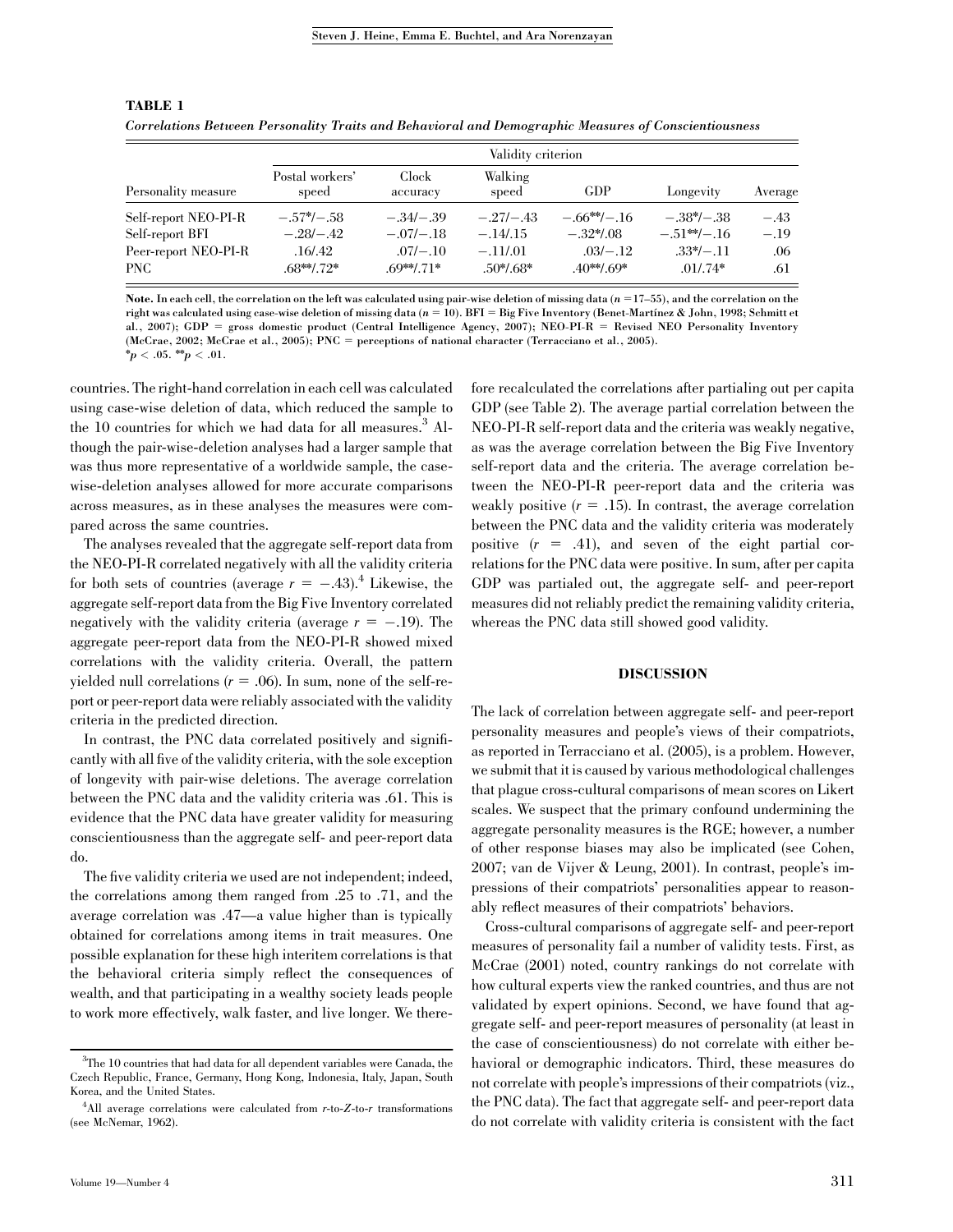| Personality measure                                                    | Validity criterion                                            |                                                           |                                                                   |                                                              |                                                             |                                |  |  |
|------------------------------------------------------------------------|---------------------------------------------------------------|-----------------------------------------------------------|-------------------------------------------------------------------|--------------------------------------------------------------|-------------------------------------------------------------|--------------------------------|--|--|
|                                                                        | Postal workers'<br>speed                                      | Clock<br>accuracy                                         | Walking<br>speed                                                  | GDP                                                          | Longevity                                                   | Average                        |  |  |
| Self-report NEO-PI-R<br>Self-report BFI<br>Peer-report NEO-PI-R<br>PNC | $-.57^{\ast}/-.58$<br>$-.28/-.42$<br>.16/0.42<br>$.68**/.72*$ | $-.34/-.39$<br>$-.07/-.18$<br>$.07/-.10$<br>$.69**/0.71*$ | $-.27/-.43$<br>$-.14/.15$<br>$-.11/01$<br>$.50^{\ast}/.68^{\ast}$ | $-.66**/-.16$<br>$-.32*/.08$<br>$.03/-.12$<br>$40^{**}/69^*$ | $-.38*/-.38$<br>$-.51**/-.16$<br>$.33*/-.11$<br>$.01/0.74*$ | $-.43$<br>$-.19$<br>.06<br>.61 |  |  |

TABLE 1 Correlations Between Personality Traits and Behavioral and Demographic Measures of Conscientiousness

Note. In each cell, the correlation on the left was calculated using pair-wise deletion of missing data  $(n = 17-55)$ , and the correlation on the right was calculated using case-wise deletion of missing data  $(n = 10)$ . BFI = Big Five Inventory (Benet-Martínez & John, 1998; Schmitt et al., 2007); GDP = gross domestic product (Central Intelligence Agency, 2007); NEO-PI-R = Revised NEO Personality Inventory  $(McCrae, 2002; McCrae et al., 2005); PNC = perceptions of national character (Terracciano et al., 2005).$ \* $p < .05.$  \*\* $p < .01.$ 

countries. The right-hand correlation in each cell was calculated using case-wise deletion of data, which reduced the sample to the 10 countries for which we had data for all measures.<sup>3</sup> Although the pair-wise-deletion analyses had a larger sample that was thus more representative of a worldwide sample, the casewise-deletion analyses allowed for more accurate comparisons across measures, as in these analyses the measures were compared across the same countries.

The analyses revealed that the aggregate self-report data from the NEO-PI-R correlated negatively with all the validity criteria for both sets of countries (average  $r = -.43$ ).<sup>4</sup> Likewise, the aggregate self-report data from the Big Five Inventory correlated negatively with the validity criteria (average  $r = -.19$ ). The aggregate peer-report data from the NEO-PI-R showed mixed correlations with the validity criteria. Overall, the pattern yielded null correlations  $(r = .06)$ . In sum, none of the self-report or peer-report data were reliably associated with the validity criteria in the predicted direction.

In contrast, the PNC data correlated positively and significantly with all five of the validity criteria, with the sole exception of longevity with pair-wise deletions. The average correlation between the PNC data and the validity criteria was .61. This is evidence that the PNC data have greater validity for measuring conscientiousness than the aggregate self- and peer-report data do.

The five validity criteria we used are not independent; indeed, the correlations among them ranged from .25 to .71, and the average correlation was .47—a value higher than is typically obtained for correlations among items in trait measures. One possible explanation for these high interitem correlations is that the behavioral criteria simply reflect the consequences of wealth, and that participating in a wealthy society leads people to work more effectively, walk faster, and live longer. We therefore recalculated the correlations after partialing out per capita GDP (see Table 2). The average partial correlation between the NEO-PI-R self-report data and the criteria was weakly negative, as was the average correlation between the Big Five Inventory self-report data and the criteria. The average correlation between the NEO-PI-R peer-report data and the criteria was weakly positive  $(r = .15)$ . In contrast, the average correlation between the PNC data and the validity criteria was moderately positive  $(r = .41)$ , and seven of the eight partial correlations for the PNC data were positive. In sum, after per capita GDP was partialed out, the aggregate self- and peer-report measures did not reliably predict the remaining validity criteria, whereas the PNC data still showed good validity.

#### DISCUSSION

The lack of correlation between aggregate self- and peer-report personality measures and people's views of their compatriots, as reported in Terracciano et al. (2005), is a problem. However, we submit that it is caused by various methodological challenges that plague cross-cultural comparisons of mean scores on Likert scales. We suspect that the primary confound undermining the aggregate personality measures is the RGE; however, a number of other response biases may also be implicated (see Cohen, 2007; van de Vijver & Leung, 2001). In contrast, people's impressions of their compatriots' personalities appear to reasonably reflect measures of their compatriots' behaviors.

Cross-cultural comparisons of aggregate self- and peer-report measures of personality fail a number of validity tests. First, as McCrae (2001) noted, country rankings do not correlate with how cultural experts view the ranked countries, and thus are not validated by expert opinions. Second, we have found that aggregate self- and peer-report measures of personality (at least in the case of conscientiousness) do not correlate with either behavioral or demographic indicators. Third, these measures do not correlate with people's impressions of their compatriots (viz., the PNC data). The fact that aggregate self- and peer-report data do not correlate with validity criteria is consistent with the fact

<sup>&</sup>lt;sup>3</sup>The 10 countries that had data for all dependent variables were Canada, the Czech Republic, France, Germany, Hong Kong, Indonesia, Italy, Japan, South Korea, and the United States.

<sup>&</sup>lt;sup>4</sup>All average correlations were calculated from r-to-Z-to-r transformations (see McNemar, 1962).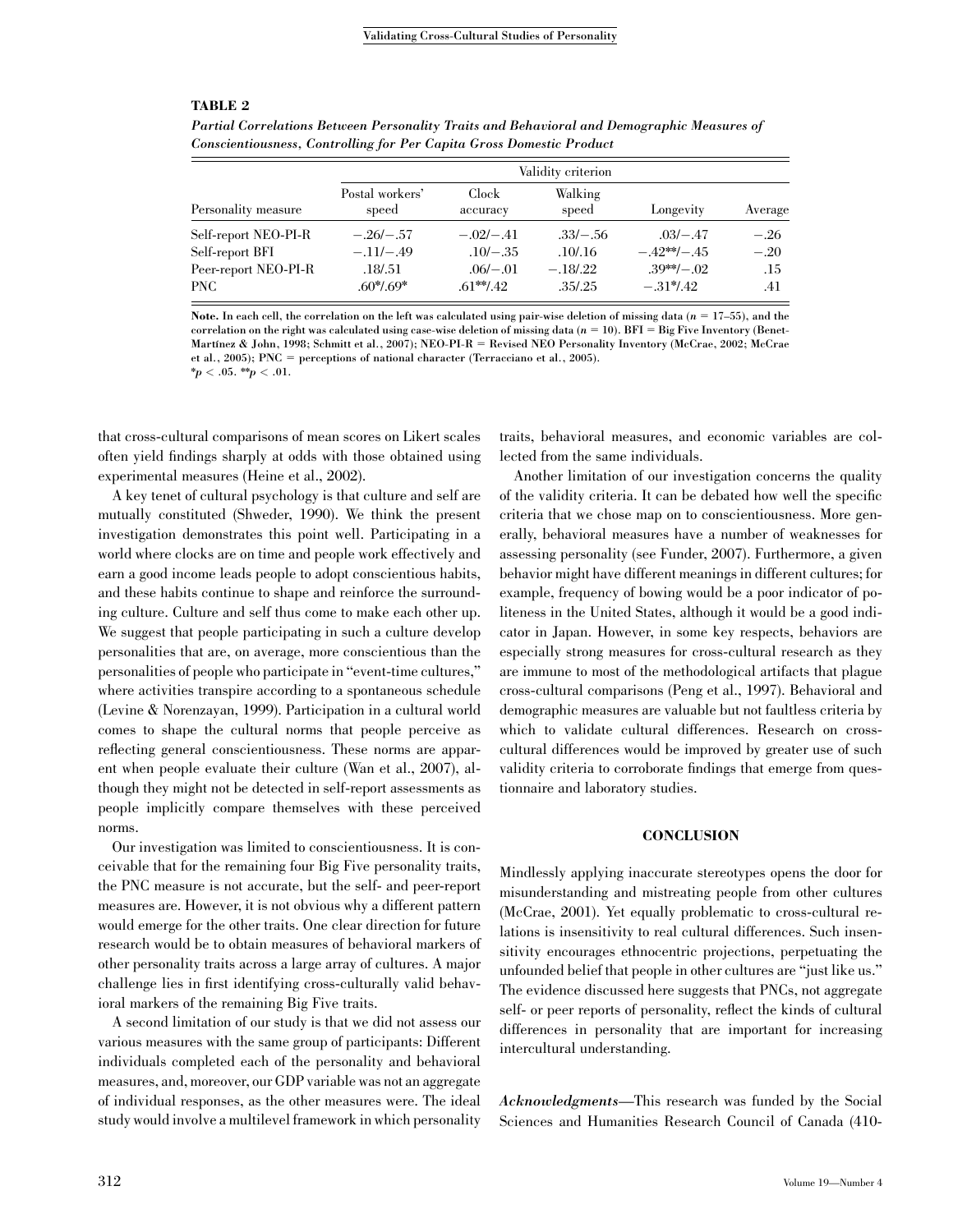#### TABLE 2

Partial Correlations Between Personality Traits and Behavioral and Demographic Measures of Conscientiousness, Controlling for Per Capita Gross Domestic Product

| Personality measure  | Validity criterion       |                   |                  |               |         |  |  |
|----------------------|--------------------------|-------------------|------------------|---------------|---------|--|--|
|                      | Postal workers'<br>speed | Clock<br>accuracy | Walking<br>speed | Longevity     | Average |  |  |
| Self-report NEO-PI-R | $-.26/-.57$              | $-.02/-.41$       | $.33/-.56$       | $.03/-.47$    | $-.26$  |  |  |
| Self-report BFI      | $-.11/-.49$              | $.10/-35$         | .10/0.16         | $-.42**/-.45$ | $-.20$  |  |  |
| Peer-report NEO-PI-R | .18/.51                  | $.06/-.01$        | $-.18/.22$       | $.39**/-.02$  | .15     |  |  |
| PNC.                 | $.60*/.69*$              | $.61**/0.42$      | .35/.25          | $-.31*/.42$   | .41     |  |  |

Note. In each cell, the correlation on the left was calculated using pair-wise deletion of missing data ( $n = 17-55$ ), and the correlation on the right was calculated using case-wise deletion of missing data  $(n = 10)$ . BFI = Big Five Inventory (Benet-Martínez & John, 1998; Schmitt et al., 2007); NEO-PI-R = Revised NEO Personality Inventory (McCrae, 2002; McCrae et al., 2005); PNC = perceptions of national character (Terracciano et al., 2005). \* $p < .05.$  \*\* $p < .01.$ 

that cross-cultural comparisons of mean scores on Likert scales often yield findings sharply at odds with those obtained using experimental measures (Heine et al., 2002).

A key tenet of cultural psychology is that culture and self are mutually constituted (Shweder, 1990). We think the present investigation demonstrates this point well. Participating in a world where clocks are on time and people work effectively and earn a good income leads people to adopt conscientious habits, and these habits continue to shape and reinforce the surrounding culture. Culture and self thus come to make each other up. We suggest that people participating in such a culture develop personalities that are, on average, more conscientious than the personalities of people who participate in ''event-time cultures,'' where activities transpire according to a spontaneous schedule (Levine & Norenzayan, 1999). Participation in a cultural world comes to shape the cultural norms that people perceive as reflecting general conscientiousness. These norms are apparent when people evaluate their culture (Wan et al., 2007), although they might not be detected in self-report assessments as people implicitly compare themselves with these perceived norms.

Our investigation was limited to conscientiousness. It is conceivable that for the remaining four Big Five personality traits, the PNC measure is not accurate, but the self- and peer-report measures are. However, it is not obvious why a different pattern would emerge for the other traits. One clear direction for future research would be to obtain measures of behavioral markers of other personality traits across a large array of cultures. A major challenge lies in first identifying cross-culturally valid behavioral markers of the remaining Big Five traits.

A second limitation of our study is that we did not assess our various measures with the same group of participants: Different individuals completed each of the personality and behavioral measures, and, moreover, our GDP variable was not an aggregate of individual responses, as the other measures were. The ideal study would involve a multilevel framework in which personality traits, behavioral measures, and economic variables are collected from the same individuals.

Another limitation of our investigation concerns the quality of the validity criteria. It can be debated how well the specific criteria that we chose map on to conscientiousness. More generally, behavioral measures have a number of weaknesses for assessing personality (see Funder, 2007). Furthermore, a given behavior might have different meanings in different cultures; for example, frequency of bowing would be a poor indicator of politeness in the United States, although it would be a good indicator in Japan. However, in some key respects, behaviors are especially strong measures for cross-cultural research as they are immune to most of the methodological artifacts that plague cross-cultural comparisons (Peng et al., 1997). Behavioral and demographic measures are valuable but not faultless criteria by which to validate cultural differences. Research on crosscultural differences would be improved by greater use of such validity criteria to corroborate findings that emerge from questionnaire and laboratory studies.

#### **CONCLUSION**

Mindlessly applying inaccurate stereotypes opens the door for misunderstanding and mistreating people from other cultures (McCrae, 2001). Yet equally problematic to cross-cultural relations is insensitivity to real cultural differences. Such insensitivity encourages ethnocentric projections, perpetuating the unfounded belief that people in other cultures are ''just like us.'' The evidence discussed here suggests that PNCs, not aggregate self- or peer reports of personality, reflect the kinds of cultural differences in personality that are important for increasing intercultural understanding.

Acknowledgments—This research was funded by the Social Sciences and Humanities Research Council of Canada (410